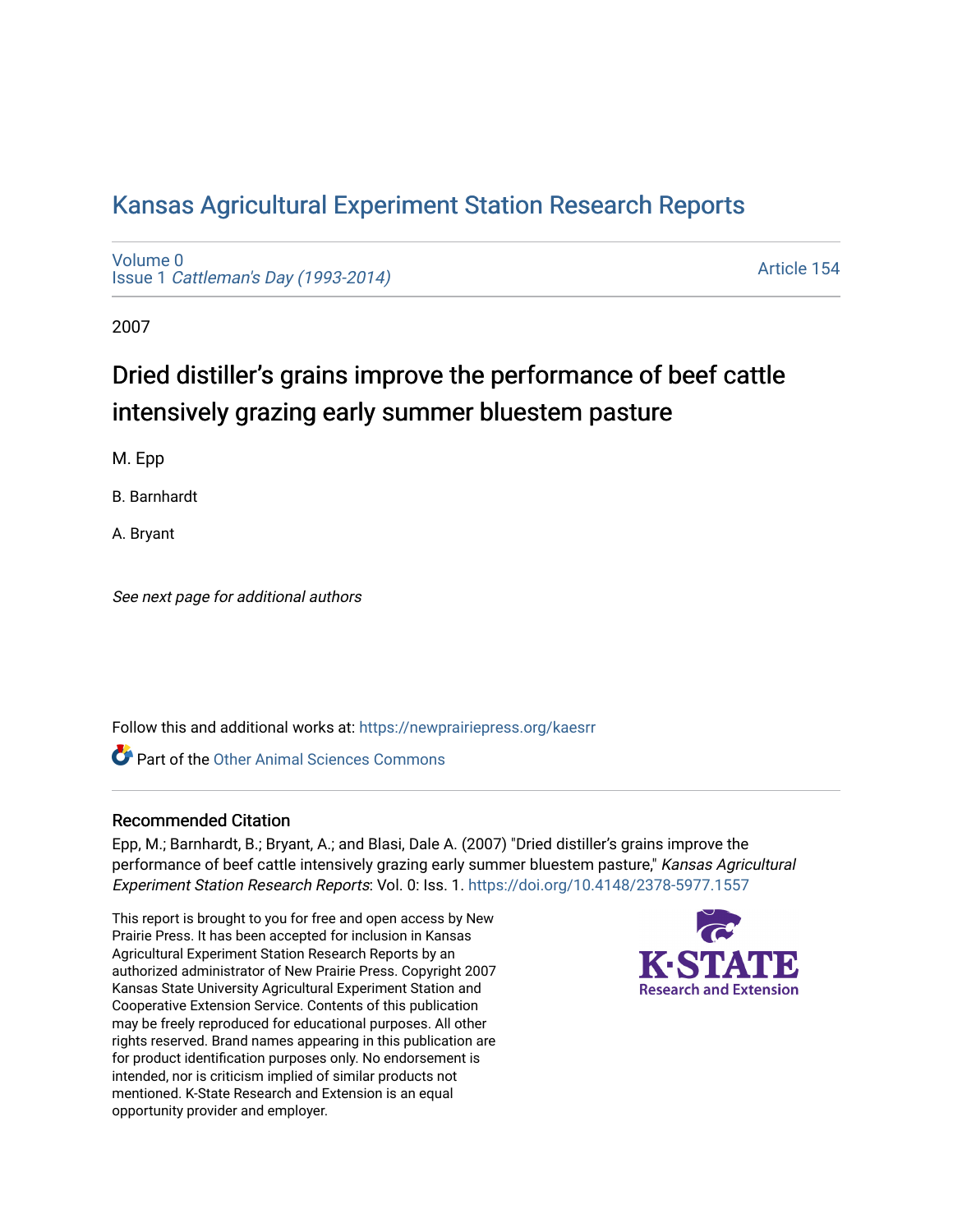## [Kansas Agricultural Experiment Station Research Reports](https://newprairiepress.org/kaesrr)

[Volume 0](https://newprairiepress.org/kaesrr/vol0) Issue 1 [Cattleman's Day \(1993-2014\)](https://newprairiepress.org/kaesrr/vol0/iss1) 

[Article 154](https://newprairiepress.org/kaesrr/vol0/iss1/154) 

2007

# Dried distiller's grains improve the performance of beef cattle intensively grazing early summer bluestem pasture

M. Epp

B. Barnhardt

A. Bryant

See next page for additional authors

Follow this and additional works at: [https://newprairiepress.org/kaesrr](https://newprairiepress.org/kaesrr?utm_source=newprairiepress.org%2Fkaesrr%2Fvol0%2Fiss1%2F154&utm_medium=PDF&utm_campaign=PDFCoverPages) 

**C** Part of the [Other Animal Sciences Commons](http://network.bepress.com/hgg/discipline/82?utm_source=newprairiepress.org%2Fkaesrr%2Fvol0%2Fiss1%2F154&utm_medium=PDF&utm_campaign=PDFCoverPages)

#### Recommended Citation

Epp, M.; Barnhardt, B.; Bryant, A.; and Blasi, Dale A. (2007) "Dried distiller's grains improve the performance of beef cattle intensively grazing early summer bluestem pasture," Kansas Agricultural Experiment Station Research Reports: Vol. 0: Iss. 1. <https://doi.org/10.4148/2378-5977.1557>

This report is brought to you for free and open access by New Prairie Press. It has been accepted for inclusion in Kansas Agricultural Experiment Station Research Reports by an authorized administrator of New Prairie Press. Copyright 2007 Kansas State University Agricultural Experiment Station and Cooperative Extension Service. Contents of this publication may be freely reproduced for educational purposes. All other rights reserved. Brand names appearing in this publication are for product identification purposes only. No endorsement is intended, nor is criticism implied of similar products not mentioned. K-State Research and Extension is an equal opportunity provider and employer.

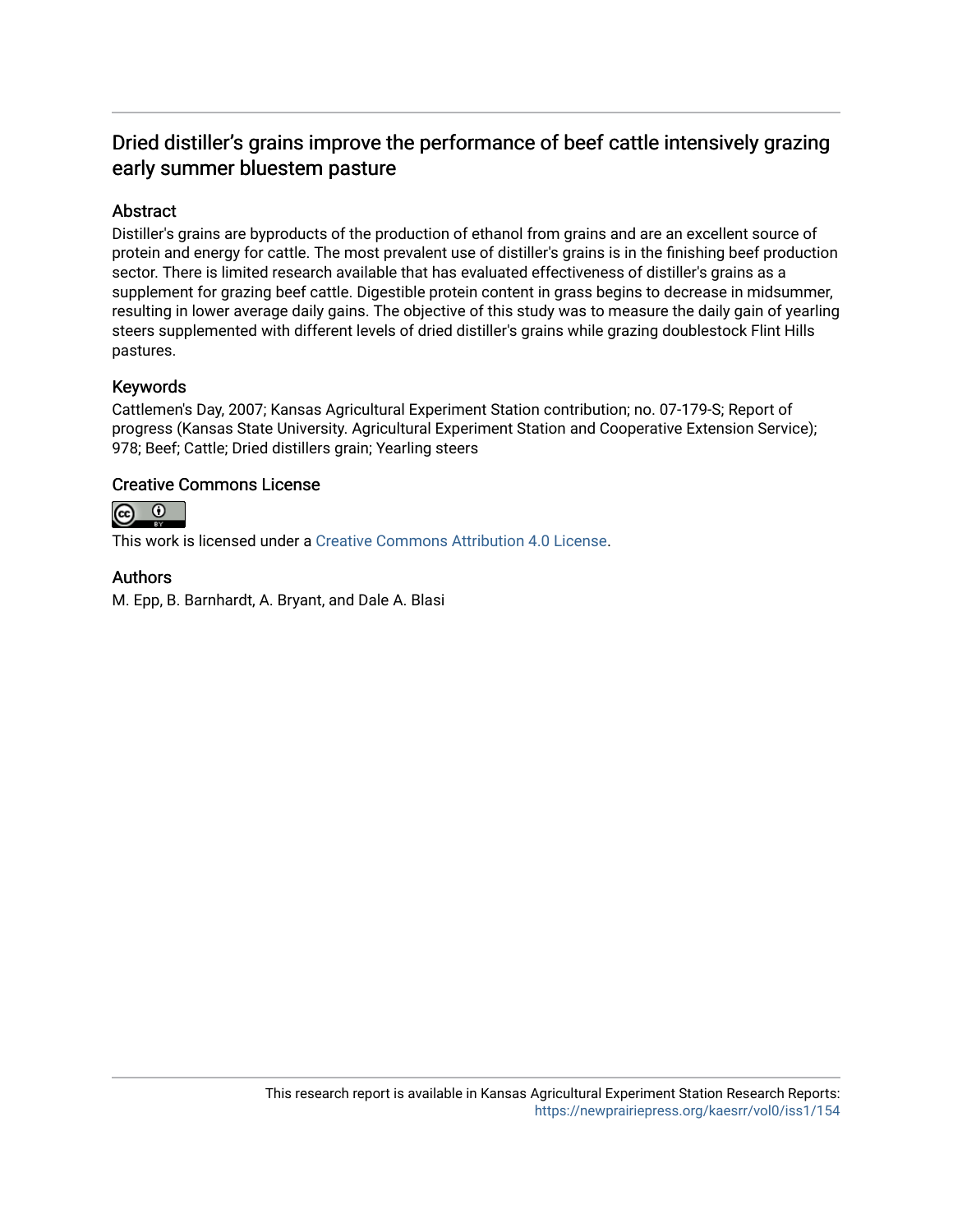### Dried distiller's grains improve the performance of beef cattle intensively grazing early summer bluestem pasture

#### Abstract

Distiller's grains are byproducts of the production of ethanol from grains and are an excellent source of protein and energy for cattle. The most prevalent use of distiller's grains is in the finishing beef production sector. There is limited research available that has evaluated effectiveness of distiller's grains as a supplement for grazing beef cattle. Digestible protein content in grass begins to decrease in midsummer, resulting in lower average daily gains. The objective of this study was to measure the daily gain of yearling steers supplemented with different levels of dried distiller's grains while grazing doublestock Flint Hills pastures.

#### Keywords

Cattlemen's Day, 2007; Kansas Agricultural Experiment Station contribution; no. 07-179-S; Report of progress (Kansas State University. Agricultural Experiment Station and Cooperative Extension Service); 978; Beef; Cattle; Dried distillers grain; Yearling steers

#### Creative Commons License



This work is licensed under a [Creative Commons Attribution 4.0 License](https://creativecommons.org/licenses/by/4.0/).

#### Authors

M. Epp, B. Barnhardt, A. Bryant, and Dale A. Blasi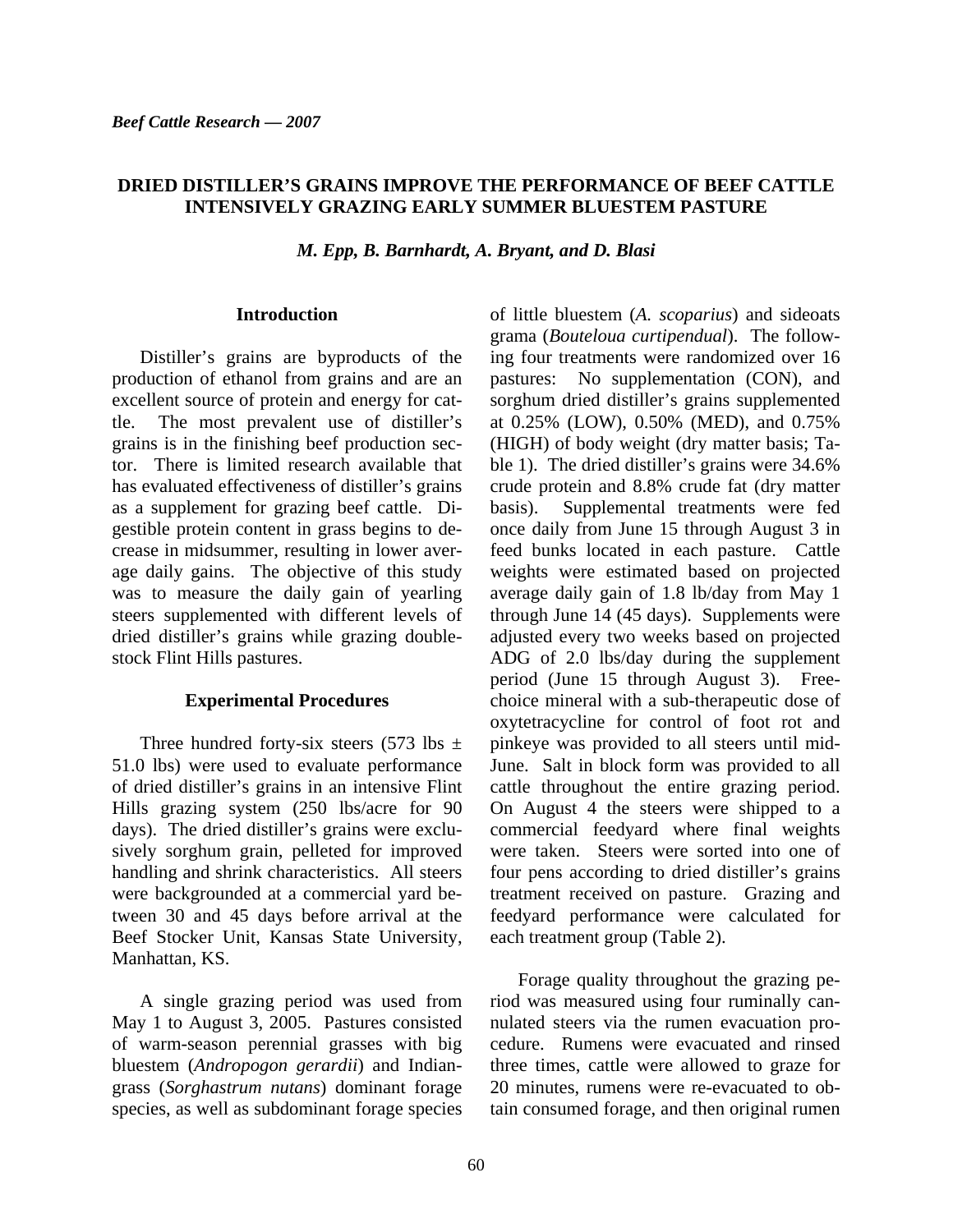#### **DRIED DISTILLER'S GRAINS IMPROVE THE PERFORMANCE OF BEEF CATTLE INTENSIVELY GRAZING EARLY SUMMER BLUESTEM PASTURE**

*M. Epp, B. Barnhardt, A. Bryant, and D. Blasi* 

#### **Introduction**

Distiller's grains are byproducts of the production of ethanol from grains and are an excellent source of protein and energy for cattle. The most prevalent use of distiller's grains is in the finishing beef production sector. There is limited research available that has evaluated effectiveness of distiller's grains as a supplement for grazing beef cattle. Digestible protein content in grass begins to decrease in midsummer, resulting in lower average daily gains. The objective of this study was to measure the daily gain of yearling steers supplemented with different levels of dried distiller's grains while grazing doublestock Flint Hills pastures.

#### **Experimental Procedures**

Three hundred forty-six steers (573 lbs  $\pm$ 51.0 lbs) were used to evaluate performance of dried distiller's grains in an intensive Flint Hills grazing system (250 lbs/acre for 90 days). The dried distiller's grains were exclusively sorghum grain, pelleted for improved handling and shrink characteristics. All steers were backgrounded at a commercial yard between 30 and 45 days before arrival at the Beef Stocker Unit, Kansas State University, Manhattan, KS.

A single grazing period was used from May 1 to August 3, 2005. Pastures consisted of warm-season perennial grasses with big bluestem (*Andropogon gerardii*) and Indiangrass (*Sorghastrum nutans*) dominant forage species, as well as subdominant forage species

of little bluestem (*A. scoparius*) and sideoats grama (*Bouteloua curtipendual*). The following four treatments were randomized over 16 pastures: No supplementation (CON), and sorghum dried distiller's grains supplemented at 0.25% (LOW), 0.50% (MED), and 0.75% (HIGH) of body weight (dry matter basis; Table 1). The dried distiller's grains were 34.6% crude protein and 8.8% crude fat (dry matter basis). Supplemental treatments were fed once daily from June 15 through August 3 in feed bunks located in each pasture. Cattle weights were estimated based on projected average daily gain of 1.8 lb/day from May 1 through June 14 (45 days). Supplements were adjusted every two weeks based on projected ADG of 2.0 lbs/day during the supplement period (June 15 through August 3). Freechoice mineral with a sub-therapeutic dose of oxytetracycline for control of foot rot and pinkeye was provided to all steers until mid-June. Salt in block form was provided to all cattle throughout the entire grazing period. On August 4 the steers were shipped to a commercial feedyard where final weights were taken. Steers were sorted into one of four pens according to dried distiller's grains treatment received on pasture. Grazing and feedyard performance were calculated for each treatment group (Table 2).

Forage quality throughout the grazing period was measured using four ruminally cannulated steers via the rumen evacuation procedure. Rumens were evacuated and rinsed three times, cattle were allowed to graze for 20 minutes, rumens were re-evacuated to obtain consumed forage, and then original rumen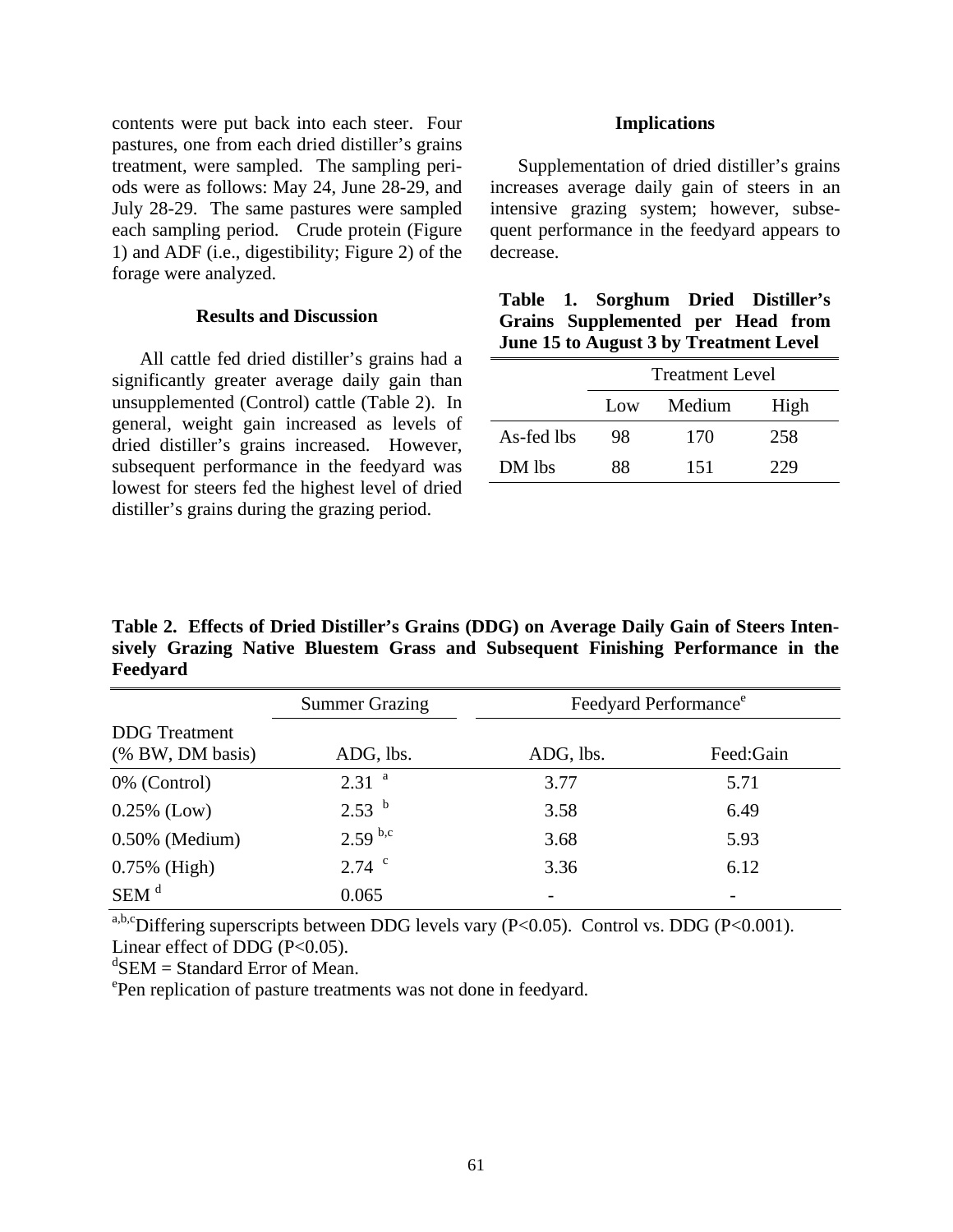contents were put back into each steer. Four pastures, one from each dried distiller's grains treatment, were sampled. The sampling periods were as follows: May 24, June 28-29, and July 28-29. The same pastures were sampled each sampling period. Crude protein (Figure 1) and ADF (i.e., digestibility; Figure 2) of the forage were analyzed.

#### **Results and Discussion**

All cattle fed dried distiller's grains had a significantly greater average daily gain than unsupplemented (Control) cattle (Table 2). In general, weight gain increased as levels of dried distiller's grains increased. However, subsequent performance in the feedyard was lowest for steers fed the highest level of dried distiller's grains during the grazing period.

#### **Implications**

Supplementation of dried distiller's grains increases average daily gain of steers in an intensive grazing system; however, subsequent performance in the feedyard appears to decrease.

|                                               |  | Table 1. Sorghum Dried Distiller's |  |  |  |  |  |
|-----------------------------------------------|--|------------------------------------|--|--|--|--|--|
|                                               |  | Grains Supplemented per Head from  |  |  |  |  |  |
| <b>June 15 to August 3 by Treatment Level</b> |  |                                    |  |  |  |  |  |

|            | <b>Treatment Level</b> |        |      |  |
|------------|------------------------|--------|------|--|
|            | Low                    | Medium | High |  |
| As-fed lbs | 98                     | 170    | 258  |  |
| DM lbs     | 88                     | 151    | 229  |  |

**Table 2. Effects of Dried Distiller's Grains (DDG) on Average Daily Gain of Steers Intensively Grazing Native Bluestem Grass and Subsequent Finishing Performance in the Feedyard** 

|                                          | <b>Summer Grazing</b> | Feedyard Performance <sup>e</sup> |           |  |
|------------------------------------------|-----------------------|-----------------------------------|-----------|--|
| <b>DDG</b> Treatment<br>(% BW, DM basis) | ADG, lbs.             | ADG, lbs.                         | Feed:Gain |  |
| 0% (Control)                             | 2.31 <sup>a</sup>     | 3.77                              | 5.71      |  |
| $0.25\%$ (Low)                           | 2.53 <sup>b</sup>     | 3.58                              | 6.49      |  |
| $0.50\%$ (Medium)                        | $2.59^{ b,c}$         | 3.68                              | 5.93      |  |
| $0.75\%$ (High)                          | $2.74$ $\degree$      | 3.36                              | 6.12      |  |
| $SEM$ <sup>d</sup>                       | 0.065                 |                                   |           |  |

a,b,cDiffering superscripts between DDG levels vary (P<0.05). Control vs. DDG (P<0.001). Linear effect of DDG  $(P<0.05)$ .

 ${}^{d}$ SEM = Standard Error of Mean.

e Pen replication of pasture treatments was not done in feedyard.